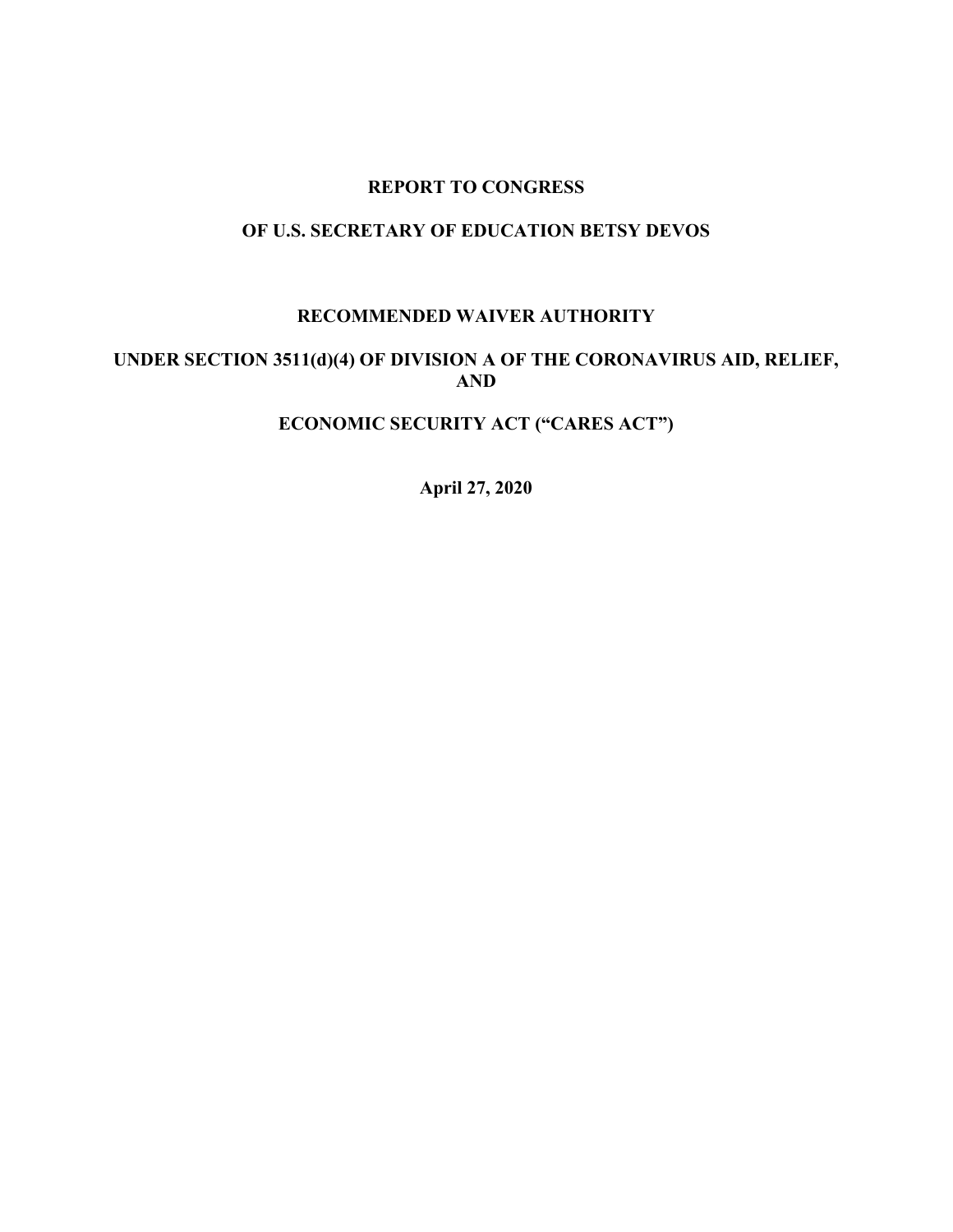#### **REPORT TO CONGRESS**

# **OF U.S. SECRETARY OF EDUCATION BETSY DEVOS**

## **RECOMMENDED WAIVER AUTHORITY**

## **UNDER SECTION 3511(d)(4) OF DIVISION A OF THE CORONAVIRUS AID, RELIEF, AND**

# **ECONOMIC SECURITY ACT ("CARES ACT")**

**April 27, 2020**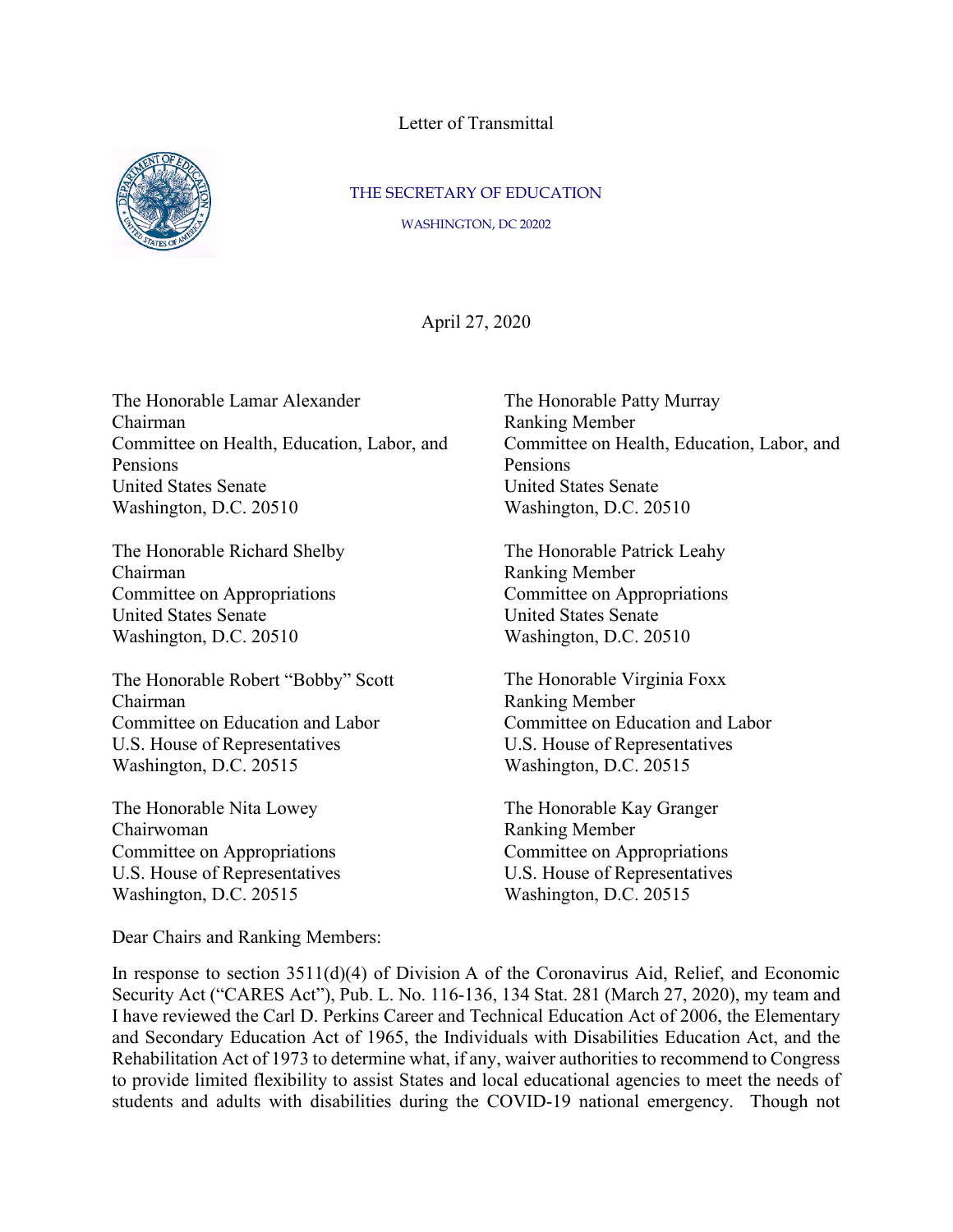Letter of Transmittal



#### THE SECRETARY OF EDUCATION

WASHINGTON, DC 20202

April 27, 2020

The Honorable Lamar Alexander Chairman Committee on Health, Education, Labor, and Pensions United States Senate Washington, D.C. 20510

The Honorable Richard Shelby Chairman Committee on Appropriations United States Senate Washington, D.C. 20510

The Honorable Robert "Bobby" Scott Chairman Committee on Education and Labor U.S. House of Representatives Washington, D.C. 20515

The Honorable Nita Lowey Chairwoman Committee on Appropriations U.S. House of Representatives Washington, D.C. 20515

The Honorable Patty Murray Ranking Member Committee on Health, Education, Labor, and Pensions United States Senate Washington, D.C. 20510

The Honorable Patrick Leahy Ranking Member Committee on Appropriations United States Senate Washington, D.C. 20510

The Honorable Virginia Foxx Ranking Member Committee on Education and Labor U.S. House of Representatives Washington, D.C. 20515

The Honorable Kay Granger Ranking Member Committee on Appropriations U.S. House of Representatives Washington, D.C. 20515

Dear Chairs and Ranking Members:

In response to section 3511(d)(4) of Division A of the Coronavirus Aid, Relief, and Economic Security Act ("CARES Act"), Pub. L. No. 116-136, 134 Stat. 281 (March 27, 2020), my team and I have reviewed the Carl D. Perkins Career and Technical Education Act of 2006, the Elementary and Secondary Education Act of 1965, the Individuals with Disabilities Education Act, and the Rehabilitation Act of 1973 to determine what, if any, waiver authorities to recommend to Congress to provide limited flexibility to assist States and local educational agencies to meet the needs of students and adults with disabilities during the COVID-19 national emergency. Though not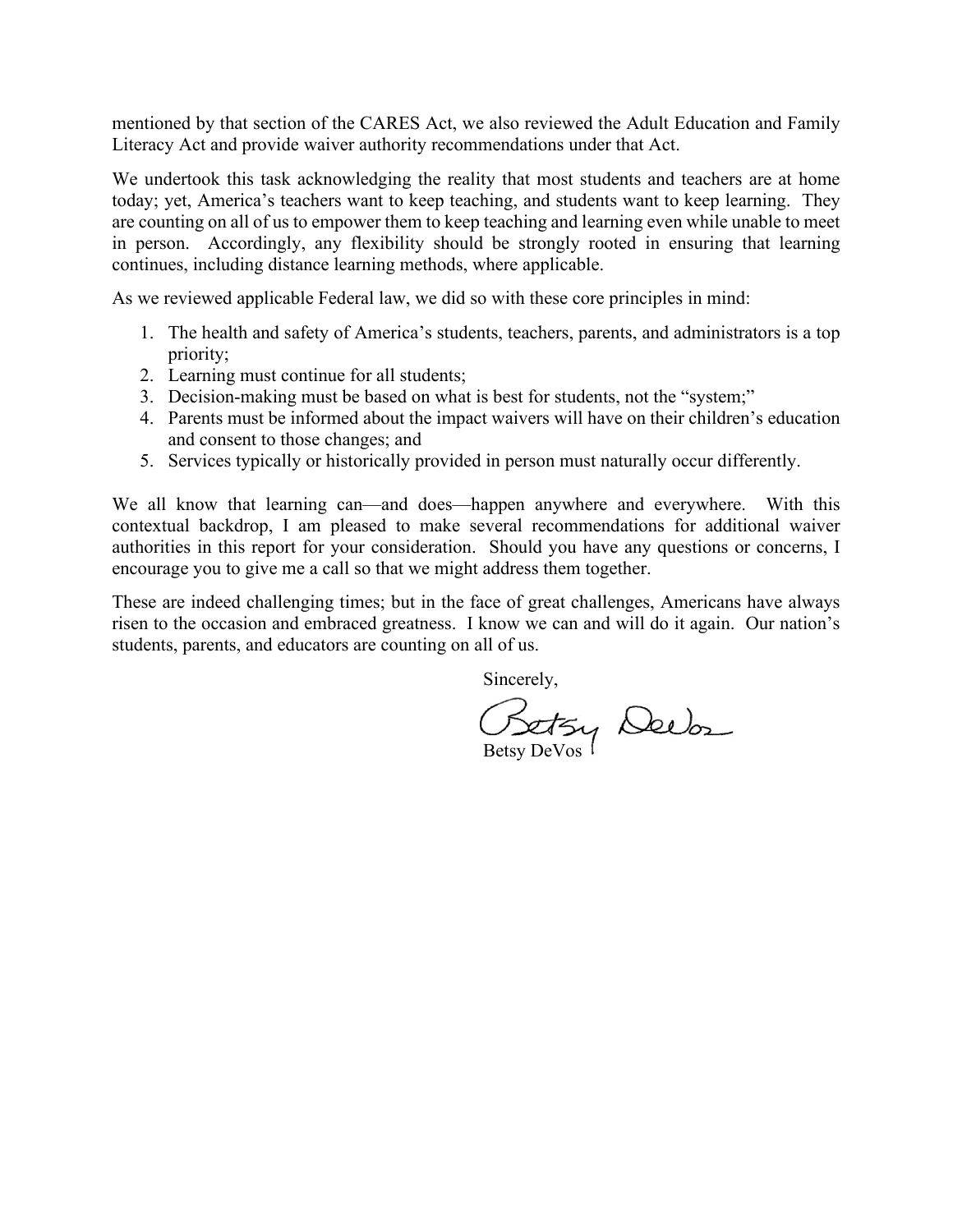mentioned by that section of the CARES Act, we also reviewed the Adult Education and Family Literacy Act and provide waiver authority recommendations under that Act.

We undertook this task acknowledging the reality that most students and teachers are at home today; yet, America's teachers want to keep teaching, and students want to keep learning. They are counting on all of us to empower them to keep teaching and learning even while unable to meet in person. Accordingly, any flexibility should be strongly rooted in ensuring that learning continues, including distance learning methods, where applicable.

As we reviewed applicable Federal law, we did so with these core principles in mind:

- 1. The health and safety of America's students, teachers, parents, and administrators is a top priority;
- 2. Learning must continue for all students;
- 3. Decision-making must be based on what is best for students, not the "system;"
- 4. Parents must be informed about the impact waivers will have on their children's education and consent to those changes; and
- 5. Services typically or historically provided in person must naturally occur differently.

We all know that learning can—and does—happen anywhere and everywhere. With this contextual backdrop, I am pleased to make several recommendations for additional waiver authorities in this report for your consideration. Should you have any questions or concerns, I encourage you to give me a call so that we might address them together.

These are indeed challenging times; but in the face of great challenges, Americans have always risen to the occasion and embraced greatness. I know we can and will do it again. Our nation's students, parents, and educators are counting on all of us.

Sincerely,

Betsy Deebs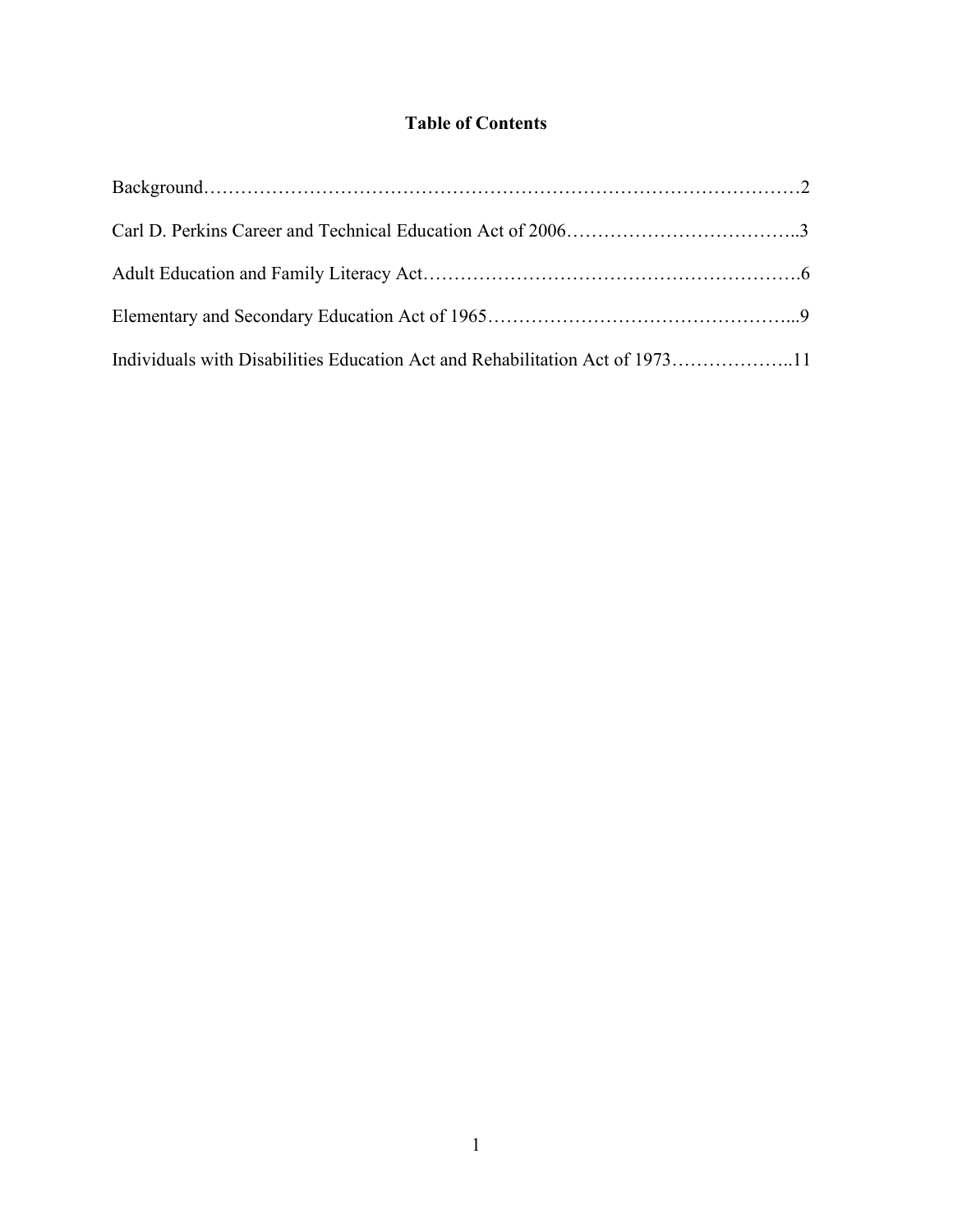# **Table of Contents**

| Individuals with Disabilities Education Act and Rehabilitation Act of 197311 |  |
|------------------------------------------------------------------------------|--|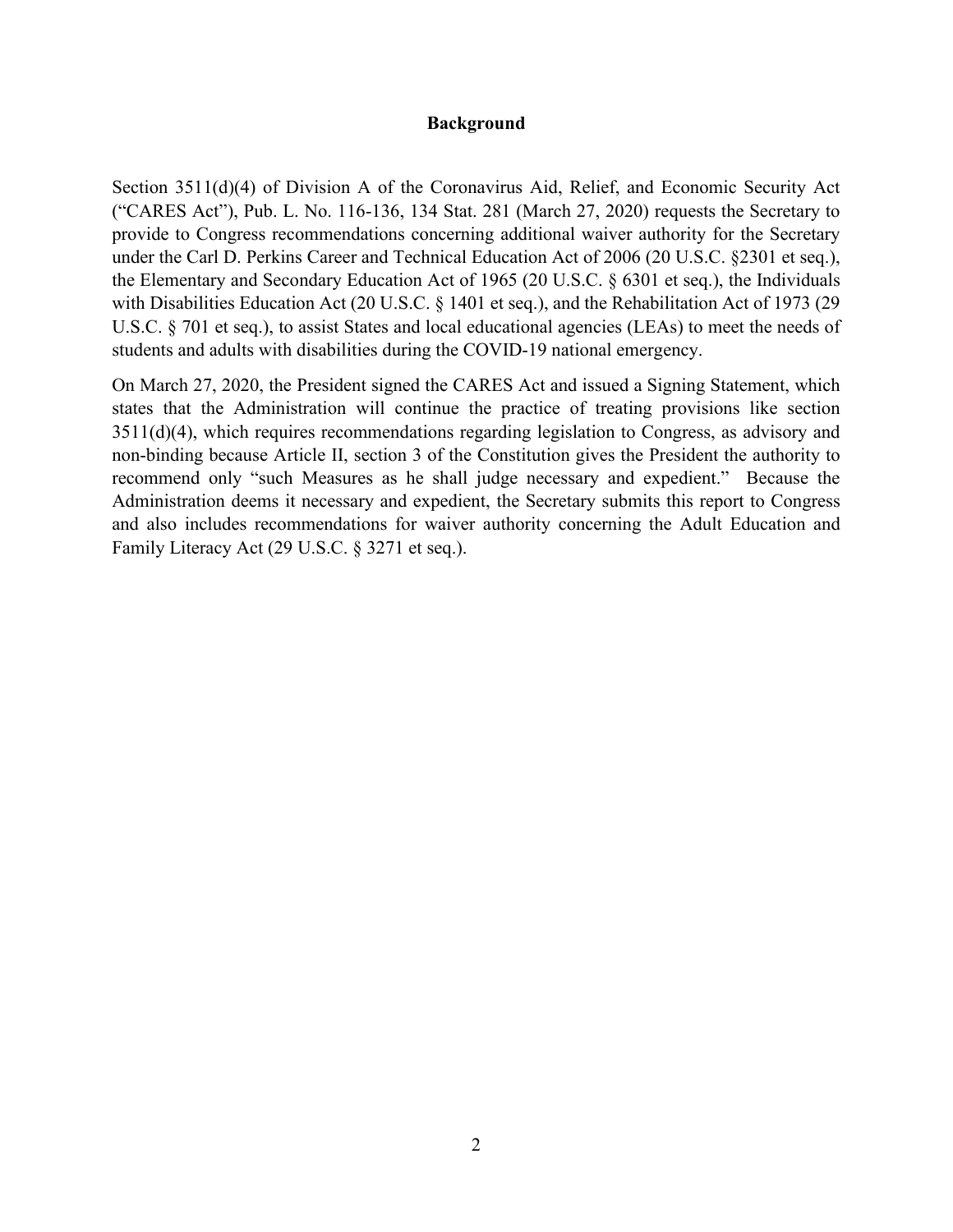#### **Background**

Section 3511(d)(4) of Division A of the Coronavirus Aid, Relief, and Economic Security Act ("CARES Act"), Pub. L. No. 116-136, 134 Stat. 281 (March 27, 2020) requests the Secretary to provide to Congress recommendations concerning additional waiver authority for the Secretary under the Carl D. Perkins Career and Technical Education Act of 2006 (20 U.S.C. §2301 et seq.), the Elementary and Secondary Education Act of 1965 (20 U.S.C. § 6301 et seq.), the Individuals with Disabilities Education Act (20 U.S.C. § 1401 et seq.), and the Rehabilitation Act of 1973 (29 U.S.C. § 701 et seq.), to assist States and local educational agencies (LEAs) to meet the needs of students and adults with disabilities during the COVID-19 national emergency.

On March 27, 2020, the President signed the CARES Act and issued a Signing Statement, which states that the Administration will continue the practice of treating provisions like section 3511(d)(4), which requires recommendations regarding legislation to Congress, as advisory and non-binding because Article II, section 3 of the Constitution gives the President the authority to recommend only "such Measures as he shall judge necessary and expedient." Because the Administration deems it necessary and expedient, the Secretary submits this report to Congress and also includes recommendations for waiver authority concerning the Adult Education and Family Literacy Act (29 U.S.C. § 3271 et seq.).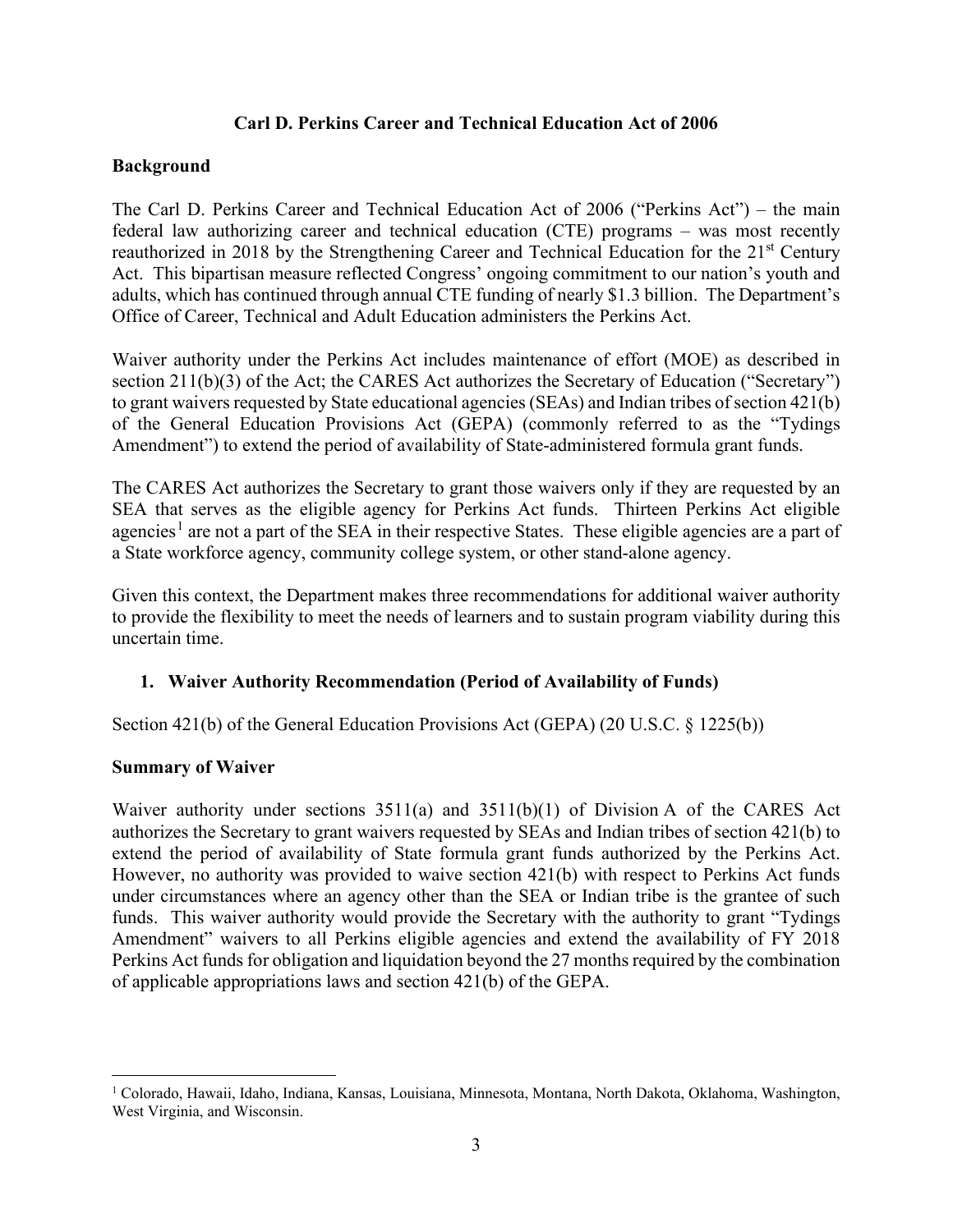### **Carl D. Perkins Career and Technical Education Act of 2006**

## **Background**

The Carl D. Perkins Career and Technical Education Act of 2006 ("Perkins Act") – the main federal law authorizing career and technical education (CTE) programs – was most recently reauthorized in 2018 by the Strengthening Career and Technical Education for the 21<sup>st</sup> Century Act. This bipartisan measure reflected Congress' ongoing commitment to our nation's youth and adults, which has continued through annual CTE funding of nearly \$1.3 billion. The Department's Office of Career, Technical and Adult Education administers the Perkins Act.

Waiver authority under the Perkins Act includes maintenance of effort (MOE) as described in section 211(b)(3) of the Act; the CARES Act authorizes the Secretary of Education ("Secretary") to grant waivers requested by State educational agencies (SEAs) and Indian tribes of section 421(b) of the General Education Provisions Act (GEPA) (commonly referred to as the "Tydings Amendment") to extend the period of availability of State-administered formula grant funds.

The CARES Act authorizes the Secretary to grant those waivers only if they are requested by an SEA that serves as the eligible agency for Perkins Act funds. Thirteen Perkins Act eligible agencies<sup>[1](#page-5-0)</sup> are not a part of the SEA in their respective States. These eligible agencies are a part of a State workforce agency, community college system, or other stand-alone agency.

Given this context, the Department makes three recommendations for additional waiver authority to provide the flexibility to meet the needs of learners and to sustain program viability during this uncertain time.

### **1. Waiver Authority Recommendation (Period of Availability of Funds)**

Section 421(b) of the General Education Provisions Act (GEPA) (20 U.S.C. § 1225(b))

### **Summary of Waiver**

Waiver authority under sections  $3511(a)$  and  $3511(b)(1)$  of Division A of the CARES Act authorizes the Secretary to grant waivers requested by SEAs and Indian tribes of section 421(b) to extend the period of availability of State formula grant funds authorized by the Perkins Act. However, no authority was provided to waive section 421(b) with respect to Perkins Act funds under circumstances where an agency other than the SEA or Indian tribe is the grantee of such funds. This waiver authority would provide the Secretary with the authority to grant "Tydings Amendment" waivers to all Perkins eligible agencies and extend the availability of FY 2018 Perkins Act funds for obligation and liquidation beyond the 27 months required by the combination of applicable appropriations laws and section 421(b) of the GEPA.

<span id="page-5-0"></span><sup>1</sup> Colorado, Hawaii, Idaho, Indiana, Kansas, Louisiana, Minnesota, Montana, North Dakota, Oklahoma, Washington, West Virginia, and Wisconsin.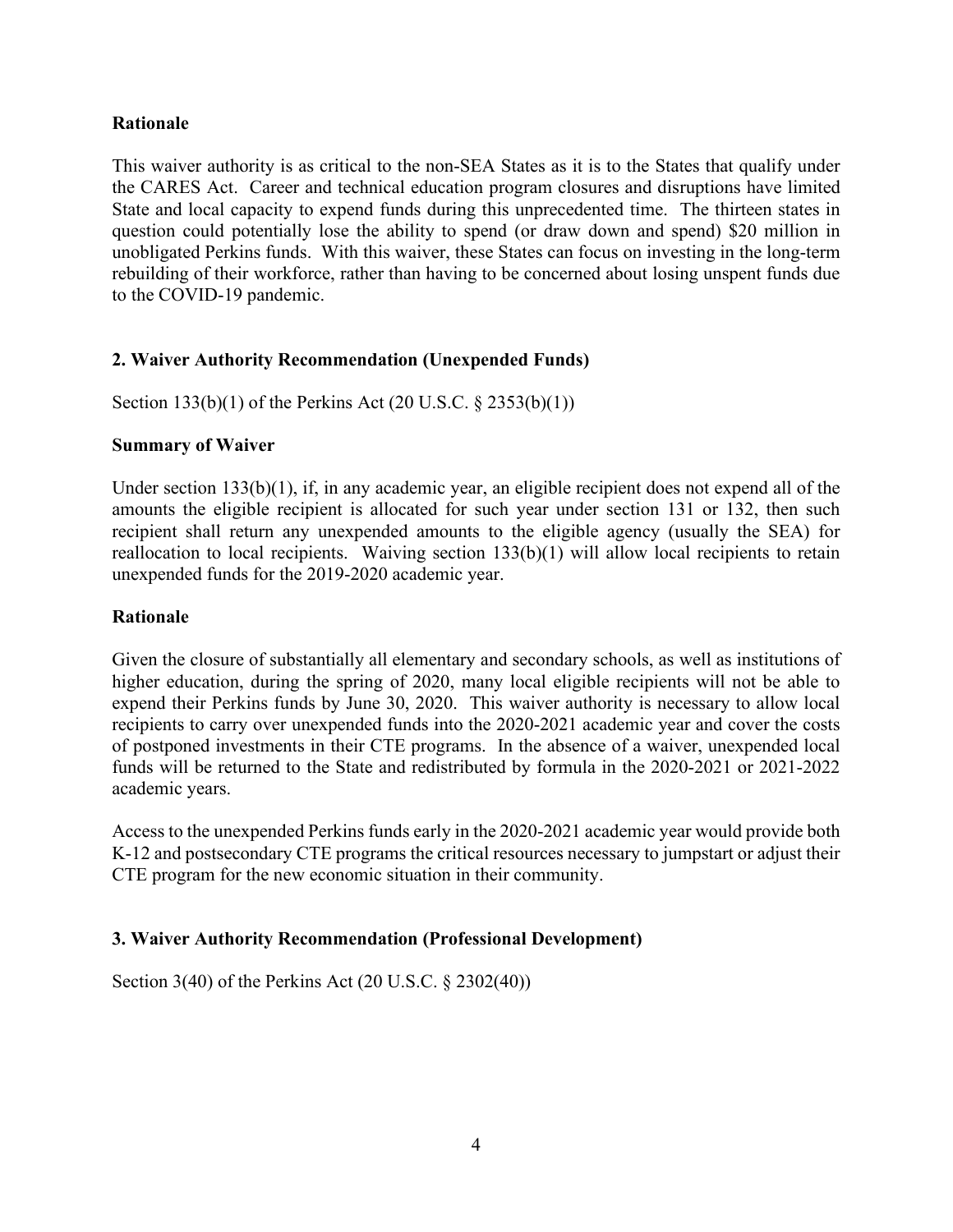### **Rationale**

This waiver authority is as critical to the non-SEA States as it is to the States that qualify under the CARES Act. Career and technical education program closures and disruptions have limited State and local capacity to expend funds during this unprecedented time. The thirteen states in question could potentially lose the ability to spend (or draw down and spend) \$20 million in unobligated Perkins funds. With this waiver, these States can focus on investing in the long-term rebuilding of their workforce, rather than having to be concerned about losing unspent funds due to the COVID-19 pandemic.

### **2. Waiver Authority Recommendation (Unexpended Funds)**

Section 133(b)(1) of the Perkins Act (20 U.S.C. § 2353(b)(1))

#### **Summary of Waiver**

Under section 133(b)(1), if, in any academic year, an eligible recipient does not expend all of the amounts the eligible recipient is allocated for such year under section 131 or 132, then such recipient shall return any unexpended amounts to the eligible agency (usually the SEA) for reallocation to local recipients. Waiving section 133(b)(1) will allow local recipients to retain unexpended funds for the 2019-2020 academic year.

#### **Rationale**

Given the closure of substantially all elementary and secondary schools, as well as institutions of higher education, during the spring of 2020, many local eligible recipients will not be able to expend their Perkins funds by June 30, 2020. This waiver authority is necessary to allow local recipients to carry over unexpended funds into the 2020-2021 academic year and cover the costs of postponed investments in their CTE programs. In the absence of a waiver, unexpended local funds will be returned to the State and redistributed by formula in the 2020-2021 or 2021-2022 academic years.

Access to the unexpended Perkins funds early in the 2020-2021 academic year would provide both K-12 and postsecondary CTE programs the critical resources necessary to jumpstart or adjust their CTE program for the new economic situation in their community.

### **3. Waiver Authority Recommendation (Professional Development)**

Section 3(40) of the Perkins Act (20 U.S.C. § 2302(40))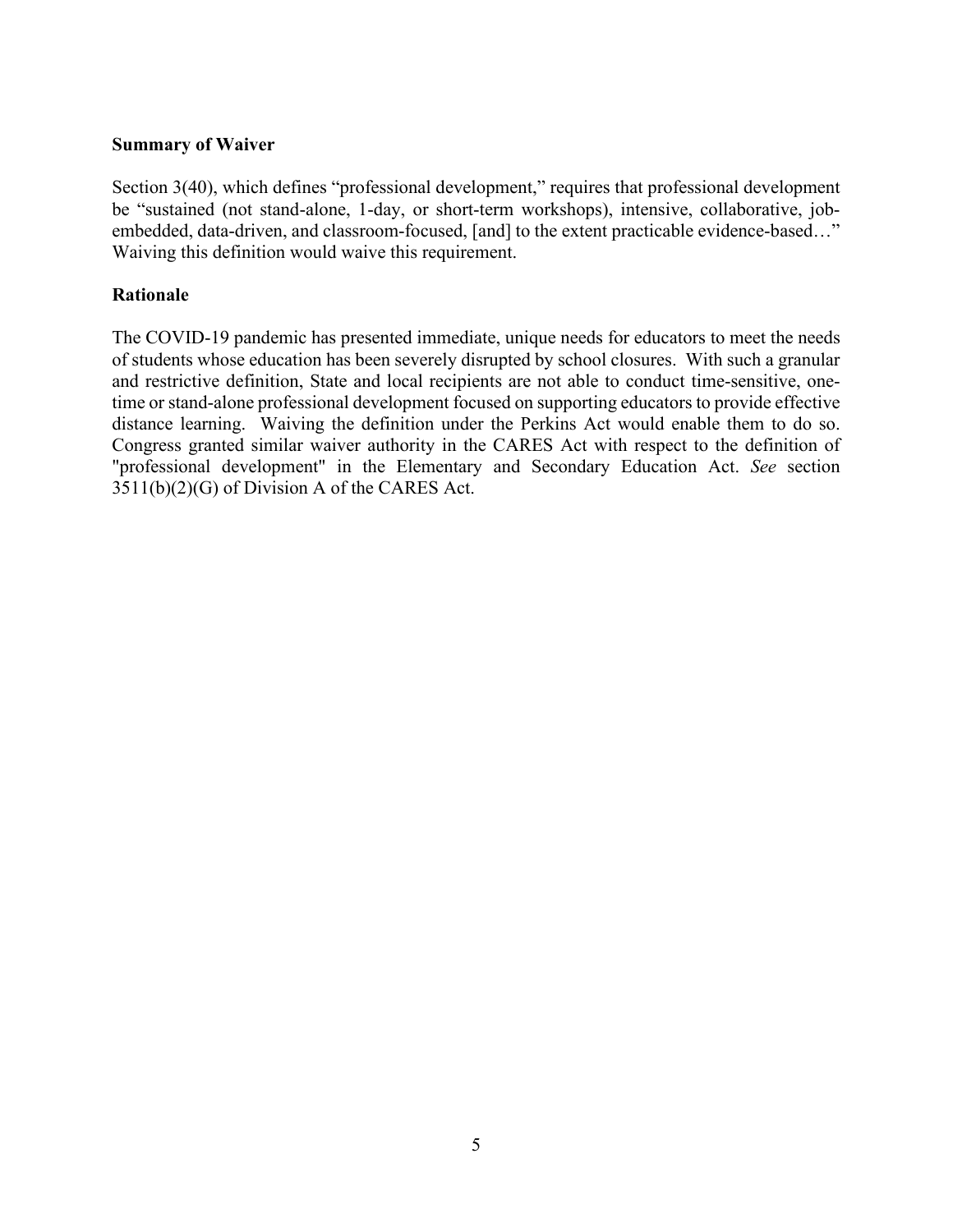#### **Summary of Waiver**

Section 3(40), which defines "professional development," requires that professional development be "sustained (not stand-alone, 1-day, or short-term workshops), intensive, collaborative, jobembedded, data-driven, and classroom-focused, [and] to the extent practicable evidence-based…" Waiving this definition would waive this requirement.

### **Rationale**

The COVID-19 pandemic has presented immediate, unique needs for educators to meet the needs of students whose education has been severely disrupted by school closures. With such a granular and restrictive definition, State and local recipients are not able to conduct time-sensitive, onetime or stand-alone professional development focused on supporting educators to provide effective distance learning. Waiving the definition under the Perkins Act would enable them to do so. Congress granted similar waiver authority in the CARES Act with respect to the definition of "professional development" in the Elementary and Secondary Education Act. *See* section 3511(b)(2)(G) of Division A of the CARES Act.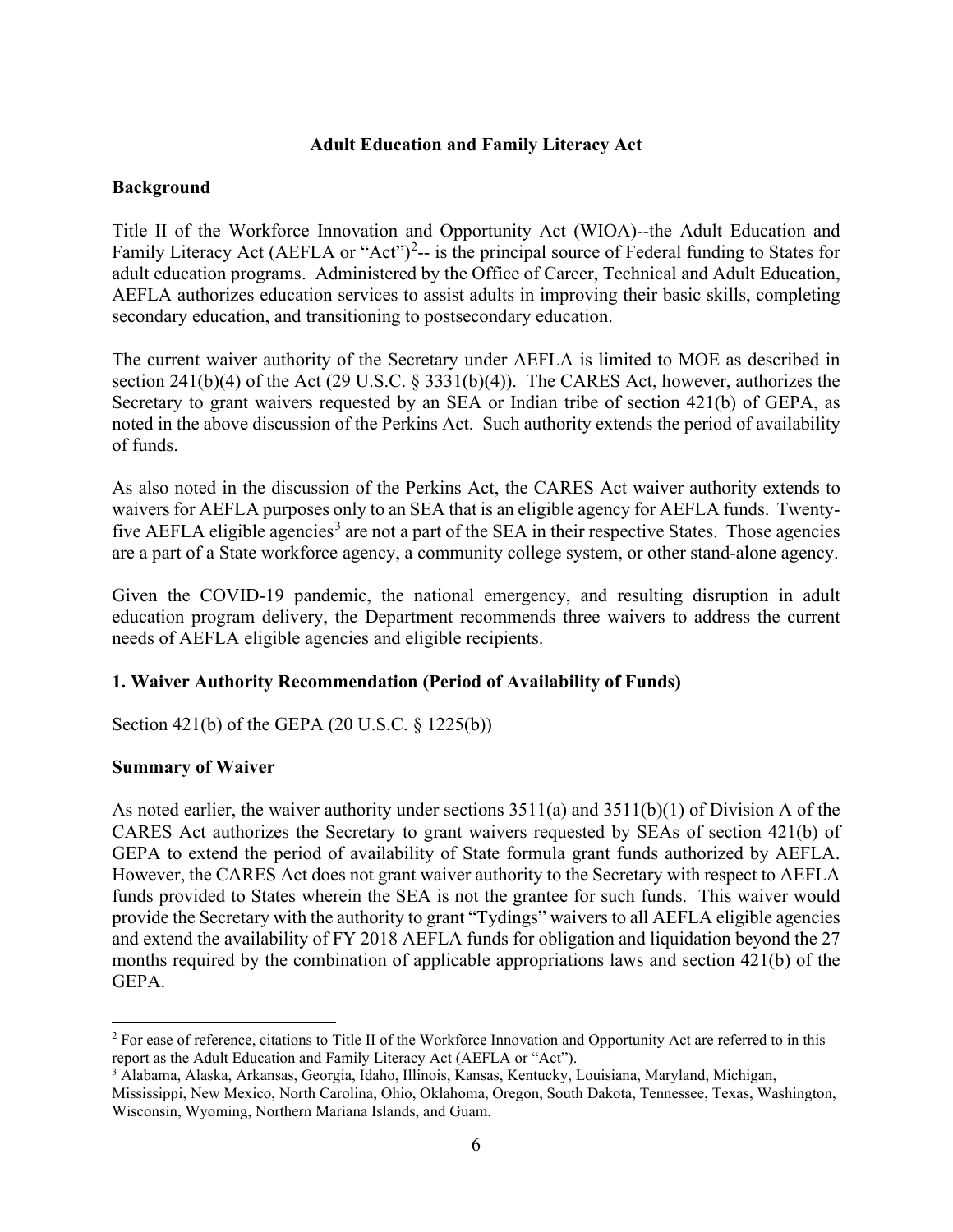### **Adult Education and Family Literacy Act**

#### **Background**

Title II of the Workforce Innovation and Opportunity Act (WIOA)--the Adult Education and Family Literacy Act (AEFLA or "Act")<sup>[2](#page-8-0)</sup> $-$  is the principal source of Federal funding to States for adult education programs. Administered by the Office of Career, Technical and Adult Education, AEFLA authorizes education services to assist adults in improving their basic skills, completing secondary education, and transitioning to postsecondary education.

The current waiver authority of the Secretary under AEFLA is limited to MOE as described in section 241(b)(4) of the Act (29 U.S.C. § 3331(b)(4)). The CARES Act, however, authorizes the Secretary to grant waivers requested by an SEA or Indian tribe of section 421(b) of GEPA, as noted in the above discussion of the Perkins Act. Such authority extends the period of availability of funds.

As also noted in the discussion of the Perkins Act, the CARES Act waiver authority extends to waivers for AEFLA purposes only to an SEA that is an eligible agency for AEFLA funds. Twenty-five AEFLA eligible agencies<sup>[3](#page-8-1)</sup> are not a part of the SEA in their respective States. Those agencies are a part of a State workforce agency, a community college system, or other stand-alone agency.

Given the COVID-19 pandemic, the national emergency, and resulting disruption in adult education program delivery, the Department recommends three waivers to address the current needs of AEFLA eligible agencies and eligible recipients.

### **1. Waiver Authority Recommendation (Period of Availability of Funds)**

Section 421(b) of the GEPA (20 U.S.C. § 1225(b))

### **Summary of Waiver**

As noted earlier, the waiver authority under sections  $3511(a)$  and  $3511(b)(1)$  of Division A of the CARES Act authorizes the Secretary to grant waivers requested by SEAs of section 421(b) of GEPA to extend the period of availability of State formula grant funds authorized by AEFLA. However, the CARES Act does not grant waiver authority to the Secretary with respect to AEFLA funds provided to States wherein the SEA is not the grantee for such funds. This waiver would provide the Secretary with the authority to grant "Tydings" waivers to all AEFLA eligible agencies and extend the availability of FY 2018 AEFLA funds for obligation and liquidation beyond the 27 months required by the combination of applicable appropriations laws and section 421(b) of the GEPA.

<span id="page-8-0"></span><sup>&</sup>lt;sup>2</sup> For ease of reference, citations to Title II of the Workforce Innovation and Opportunity Act are referred to in this report as the Adult Education and Family Literacy Act (AEFLA or "Act").

<span id="page-8-1"></span><sup>3</sup> Alabama, Alaska, Arkansas, Georgia, Idaho, Illinois, Kansas, Kentucky, Louisiana, Maryland, Michigan,

Mississippi, New Mexico, North Carolina, Ohio, Oklahoma, Oregon, South Dakota, Tennessee, Texas, Washington, Wisconsin, Wyoming, Northern Mariana Islands, and Guam.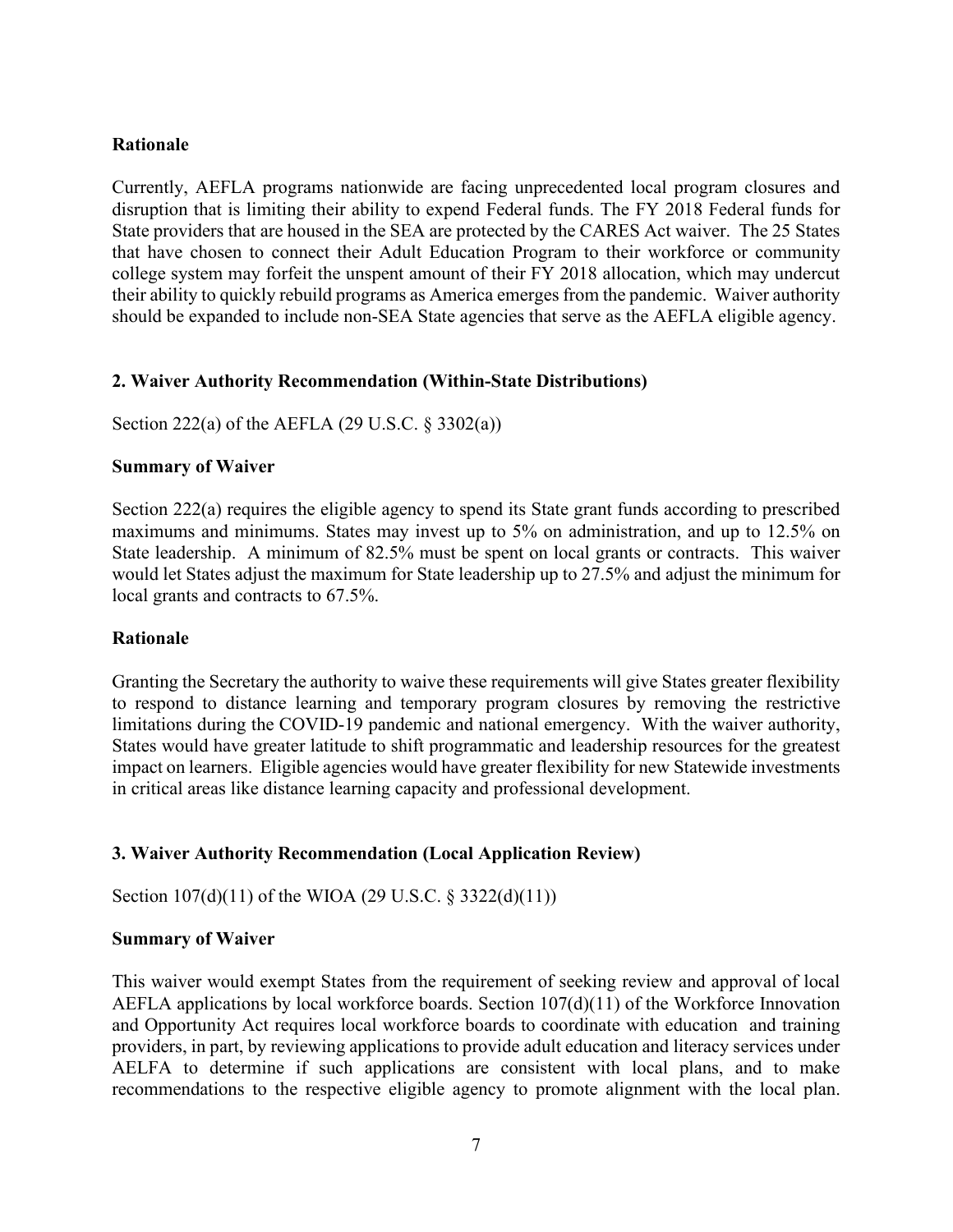#### **Rationale**

Currently, AEFLA programs nationwide are facing unprecedented local program closures and disruption that is limiting their ability to expend Federal funds. The FY 2018 Federal funds for State providers that are housed in the SEA are protected by the CARES Act waiver. The 25 States that have chosen to connect their Adult Education Program to their workforce or community college system may forfeit the unspent amount of their FY 2018 allocation, which may undercut their ability to quickly rebuild programs as America emerges from the pandemic. Waiver authority should be expanded to include non-SEA State agencies that serve as the AEFLA eligible agency.

### **2. Waiver Authority Recommendation (Within-State Distributions)**

Section 222(a) of the AEFLA (29 U.S.C. § 3302(a))

#### **Summary of Waiver**

Section 222(a) requires the eligible agency to spend its State grant funds according to prescribed maximums and minimums. States may invest up to 5% on administration, and up to 12.5% on State leadership. A minimum of 82.5% must be spent on local grants or contracts. This waiver would let States adjust the maximum for State leadership up to 27.5% and adjust the minimum for local grants and contracts to 67.5%.

#### **Rationale**

Granting the Secretary the authority to waive these requirements will give States greater flexibility to respond to distance learning and temporary program closures by removing the restrictive limitations during the COVID-19 pandemic and national emergency. With the waiver authority, States would have greater latitude to shift programmatic and leadership resources for the greatest impact on learners. Eligible agencies would have greater flexibility for new Statewide investments in critical areas like distance learning capacity and professional development.

### **3. Waiver Authority Recommendation (Local Application Review)**

Section 107(d)(11) of the WIOA (29 U.S.C. § 3322(d)(11))

#### **Summary of Waiver**

This waiver would exempt States from the requirement of seeking review and approval of local AEFLA applications by local workforce boards. Section 107(d)(11) of the Workforce Innovation and Opportunity Act requires local workforce boards to coordinate with education and training providers, in part, by reviewing applications to provide adult education and literacy services under AELFA to determine if such applications are consistent with local plans, and to make recommendations to the respective eligible agency to promote alignment with the local plan.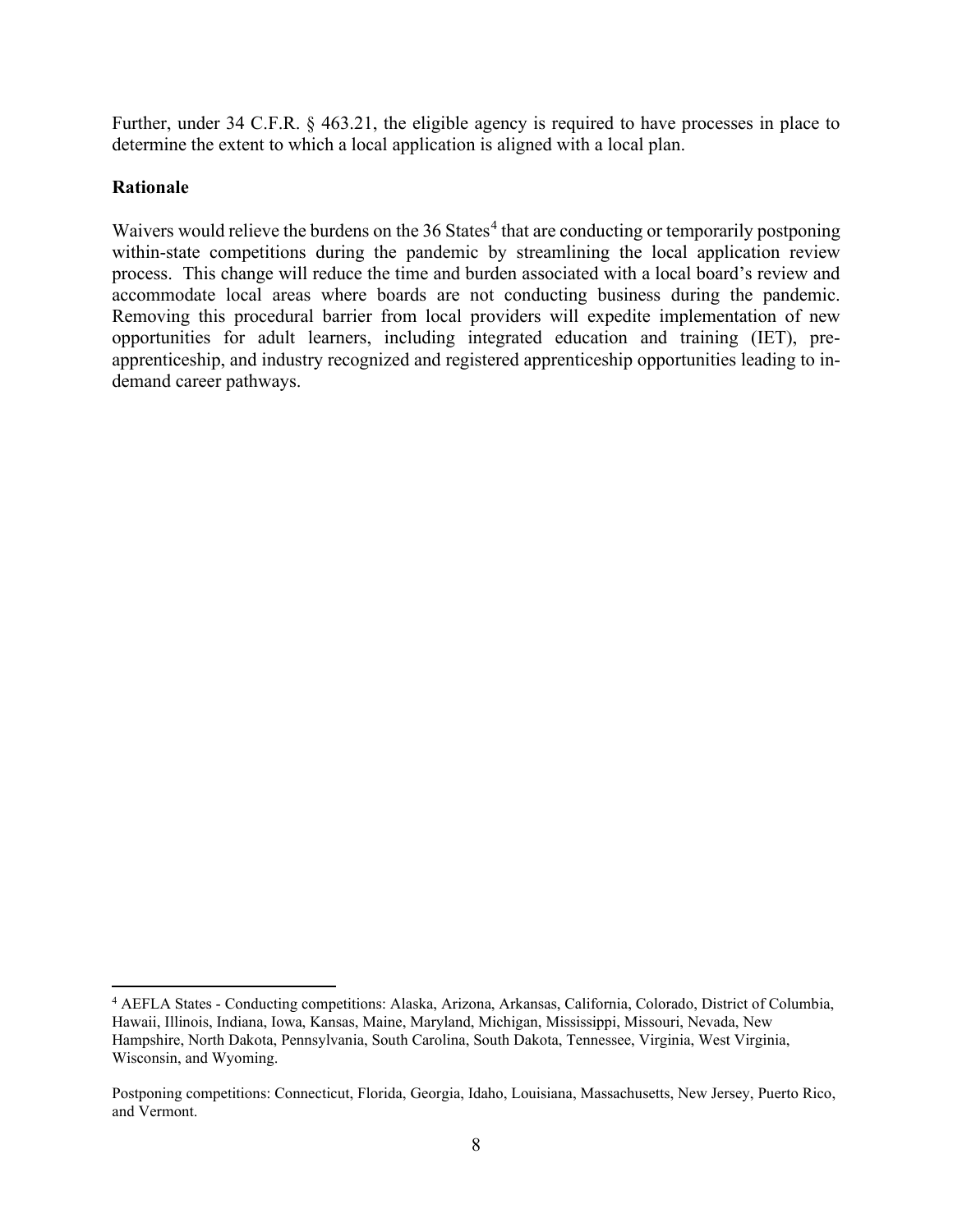Further, under 34 C.F.R. § 463.21, the eligible agency is required to have processes in place to determine the extent to which a local application is aligned with a local plan.

### **Rationale**

Waivers would relieve the burdens on the 36 States<sup>[4](#page-10-0)</sup> that are conducting or temporarily postponing within-state competitions during the pandemic by streamlining the local application review process. This change will reduce the time and burden associated with a local board's review and accommodate local areas where boards are not conducting business during the pandemic. Removing this procedural barrier from local providers will expedite implementation of new opportunities for adult learners, including integrated education and training (IET), preapprenticeship, and industry recognized and registered apprenticeship opportunities leading to indemand career pathways.

<span id="page-10-0"></span><sup>4</sup> AEFLA States - Conducting competitions: Alaska, Arizona, Arkansas, California, Colorado, District of Columbia, Hawaii, Illinois, Indiana, Iowa, Kansas, Maine, Maryland, Michigan, Mississippi, Missouri, Nevada, New Hampshire, North Dakota, Pennsylvania, South Carolina, South Dakota, Tennessee, Virginia, West Virginia, Wisconsin, and Wyoming.

Postponing competitions: Connecticut, Florida, Georgia, Idaho, Louisiana, Massachusetts, New Jersey, Puerto Rico, and Vermont.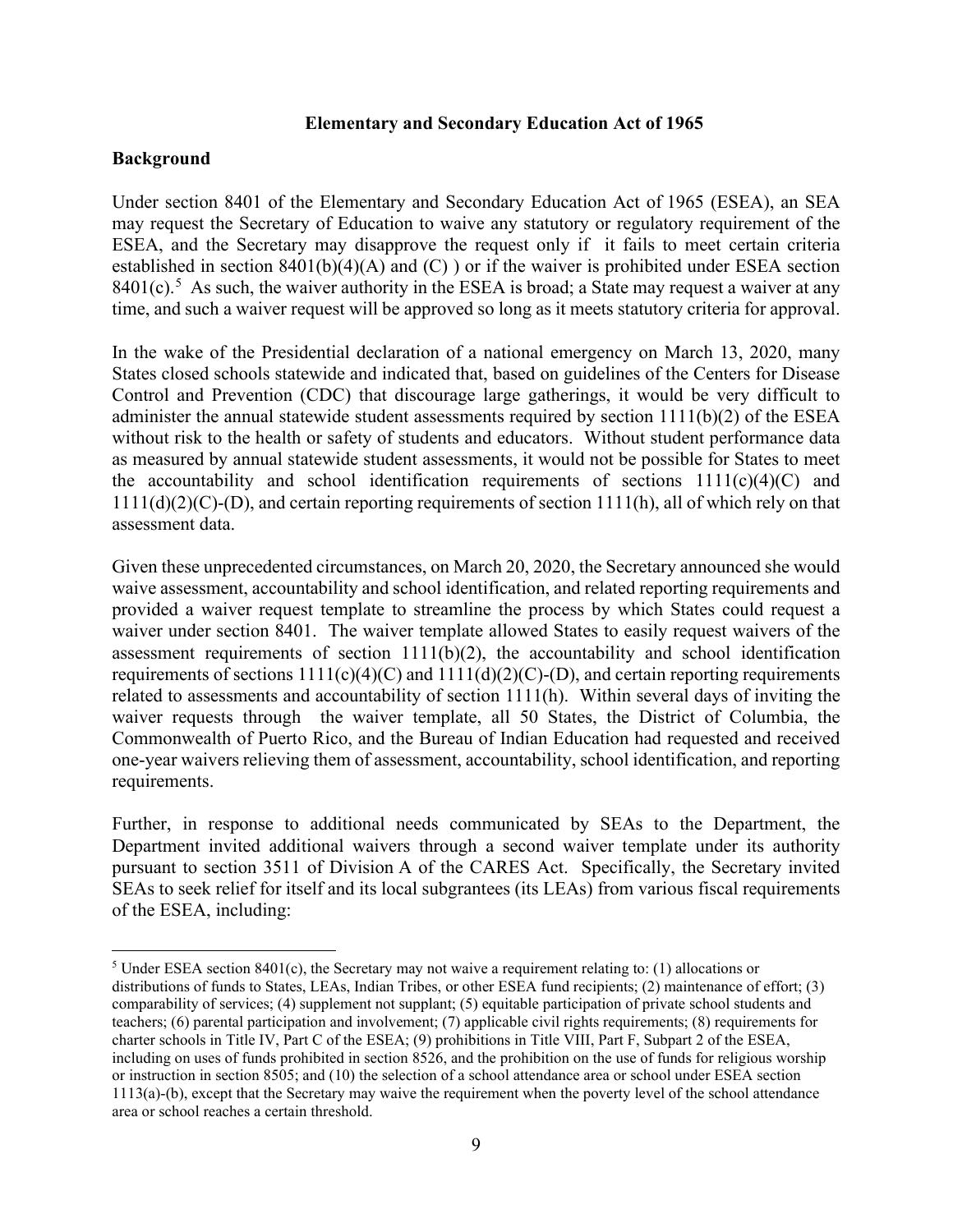#### **Elementary and Secondary Education Act of 1965**

#### **Background**

Under section 8401 of the Elementary and Secondary Education Act of 1965 (ESEA), an SEA may request the Secretary of Education to waive any statutory or regulatory requirement of the ESEA, and the Secretary may disapprove the request only if it fails to meet certain criteria established in section 8401(b)(4)(A) and (C) ) or if the waiver is prohibited under ESEA section  $8401(c)$ .<sup>[5](#page-11-0)</sup> As such, the waiver authority in the ESEA is broad; a State may request a waiver at any time, and such a waiver request will be approved so long as it meets statutory criteria for approval.

In the wake of the Presidential declaration of a national emergency on March 13, 2020, many States closed schools statewide and indicated that, based on guidelines of the Centers for Disease Control and Prevention (CDC) that discourage large gatherings, it would be very difficult to administer the annual statewide student assessments required by section 1111(b)(2) of the ESEA without risk to the health or safety of students and educators. Without student performance data as measured by annual statewide student assessments, it would not be possible for States to meet the accountability and school identification requirements of sections  $1111(c)(4)(C)$  and 1111(d)(2)(C)-(D), and certain reporting requirements of section 1111(h), all of which rely on that assessment data.

Given these unprecedented circumstances, on March 20, 2020, the Secretary announced she would waive assessment, accountability and school identification, and related reporting requirements and provided a waiver request template to streamline the process by which States could request a waiver under section 8401. The waiver template allowed States to easily request waivers of the assessment requirements of section  $1111(b)(2)$ , the accountability and school identification requirements of sections  $1111(c)(4)(C)$  and  $1111(d)(2)(C)$ -(D), and certain reporting requirements related to assessments and accountability of section 1111(h). Within several days of inviting the waiver requests through the waiver template, all 50 States, the District of Columbia, the Commonwealth of Puerto Rico, and the Bureau of Indian Education had requested and received one-year waivers relieving them of assessment, accountability, school identification, and reporting requirements.

Further, in response to additional needs communicated by SEAs to the Department, the Department invited additional waivers through a second waiver template under its authority pursuant to section 3511 of Division A of the CARES Act. Specifically, the Secretary invited SEAs to seek relief for itself and its local subgrantees (its LEAs) from various fiscal requirements of the ESEA, including:

<span id="page-11-0"></span><sup>5</sup> Under ESEA section 8401(c), the Secretary may not waive a requirement relating to: (1) allocations or distributions of funds to States, LEAs, Indian Tribes, or other ESEA fund recipients; (2) maintenance of effort; (3) comparability of services; (4) supplement not supplant; (5) equitable participation of private school students and teachers; (6) parental participation and involvement; (7) applicable civil rights requirements; (8) requirements for charter schools in Title IV, Part C of the ESEA; (9) prohibitions in Title VIII, Part F, Subpart 2 of the ESEA, including on uses of funds prohibited in section 8526, and the prohibition on the use of funds for religious worship or instruction in section 8505; and (10) the selection of a school attendance area or school under ESEA section 1113(a)-(b), except that the Secretary may waive the requirement when the poverty level of the school attendance area or school reaches a certain threshold.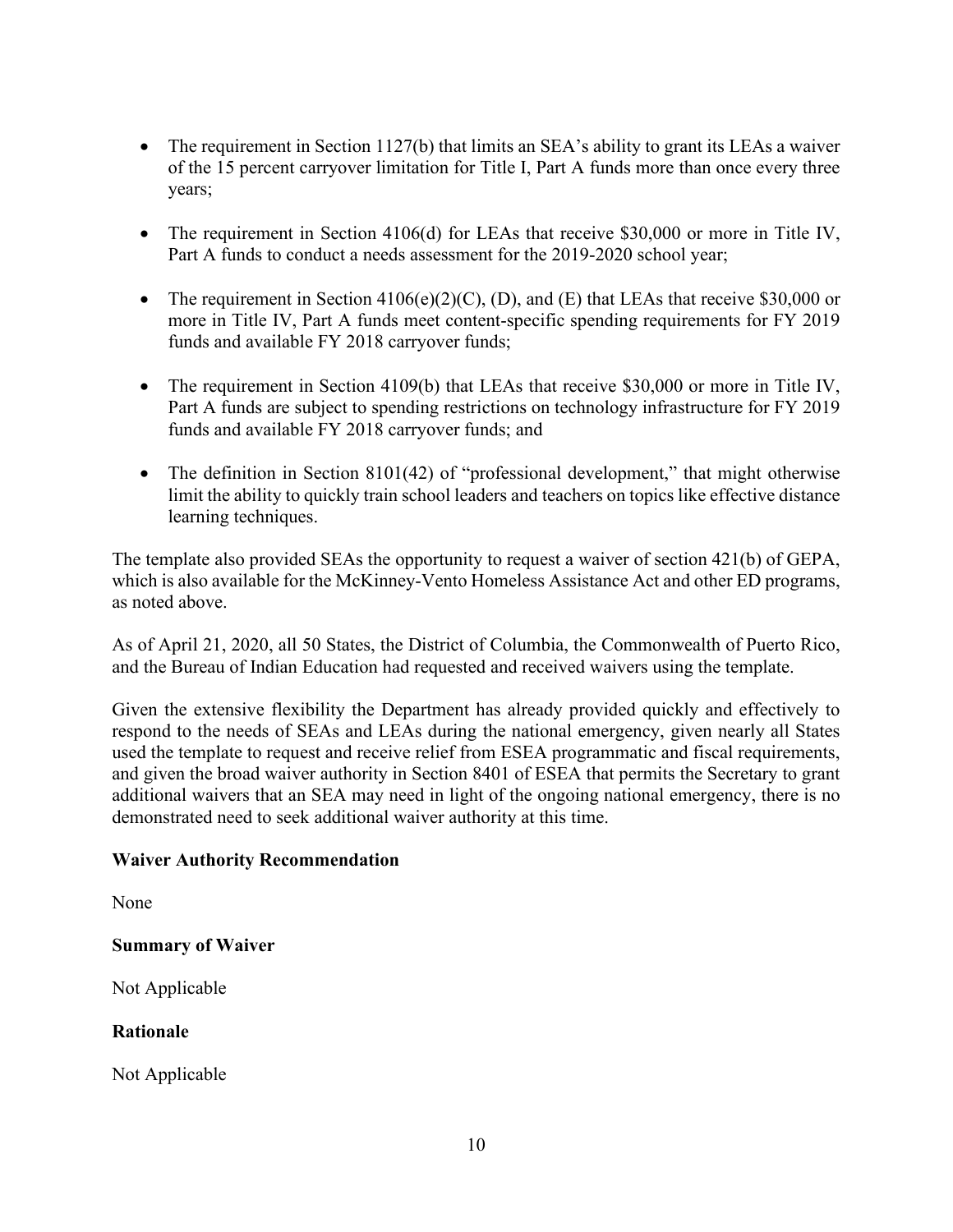- The requirement in Section 1127(b) that limits an SEA's ability to grant its LEAs a waiver of the 15 percent carryover limitation for Title I, Part A funds more than once every three years;
- The requirement in Section 4106(d) for LEAs that receive \$30,000 or more in Title IV, Part A funds to conduct a needs assessment for the 2019-2020 school year;
- The requirement in Section  $4106(e)(2)(C)$ , (D), and (E) that LEAs that receive \$30,000 or more in Title IV, Part A funds meet content-specific spending requirements for FY 2019 funds and available FY 2018 carryover funds;
- The requirement in Section 4109(b) that LEAs that receive \$30,000 or more in Title IV, Part A funds are subject to spending restrictions on technology infrastructure for FY 2019 funds and available FY 2018 carryover funds; and
- The definition in Section 8101(42) of "professional development," that might otherwise limit the ability to quickly train school leaders and teachers on topics like effective distance learning techniques.

The template also provided SEAs the opportunity to request a waiver of section 421(b) of GEPA, which is also available for the McKinney-Vento Homeless Assistance Act and other ED programs, as noted above.

As of April 21, 2020, all 50 States, the District of Columbia, the Commonwealth of Puerto Rico, and the Bureau of Indian Education had requested and received waivers using the template.

Given the extensive flexibility the Department has already provided quickly and effectively to respond to the needs of SEAs and LEAs during the national emergency, given nearly all States used the template to request and receive relief from ESEA programmatic and fiscal requirements, and given the broad waiver authority in Section 8401 of ESEA that permits the Secretary to grant additional waivers that an SEA may need in light of the ongoing national emergency, there is no demonstrated need to seek additional waiver authority at this time.

### **Waiver Authority Recommendation**

None

### **Summary of Waiver**

Not Applicable

### **Rationale**

Not Applicable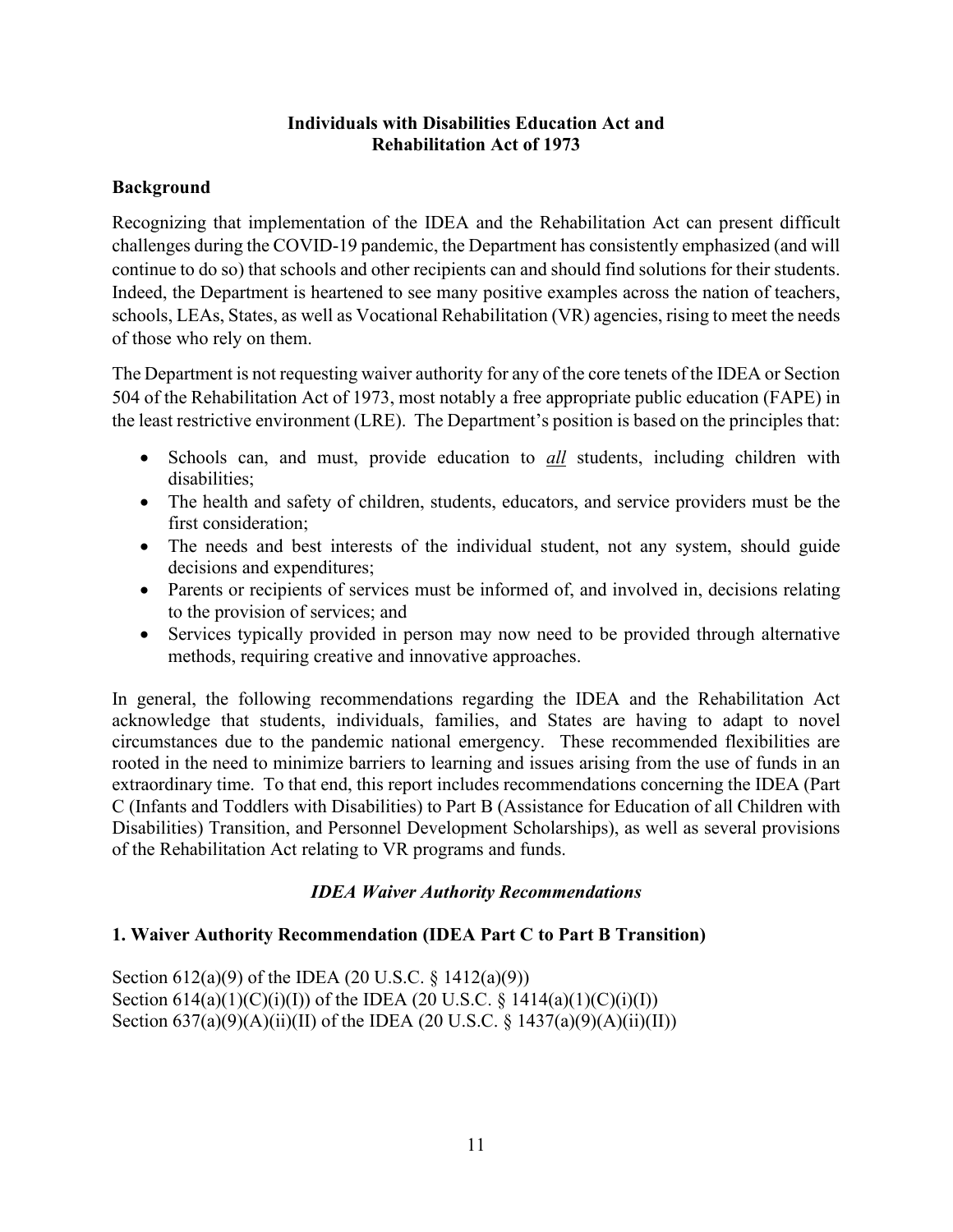### **Individuals with Disabilities Education Act and Rehabilitation Act of 1973**

### **Background**

Recognizing that implementation of the IDEA and the Rehabilitation Act can present difficult challenges during the COVID-19 pandemic, the Department has consistently emphasized (and will continue to do so) that schools and other recipients can and should find solutions for their students. Indeed, the Department is heartened to see many positive examples across the nation of teachers, schools, LEAs, States, as well as Vocational Rehabilitation (VR) agencies, rising to meet the needs of those who rely on them.

The Department is not requesting waiver authority for any of the core tenets of the IDEA or Section 504 of the Rehabilitation Act of 1973, most notably a free appropriate public education (FAPE) in the least restrictive environment (LRE). The Department's position is based on the principles that:

- Schools can, and must, provide education to *all* students, including children with disabilities;
- The health and safety of children, students, educators, and service providers must be the first consideration;
- The needs and best interests of the individual student, not any system, should guide decisions and expenditures;
- Parents or recipients of services must be informed of, and involved in, decisions relating to the provision of services; and
- Services typically provided in person may now need to be provided through alternative methods, requiring creative and innovative approaches.

In general, the following recommendations regarding the IDEA and the Rehabilitation Act acknowledge that students, individuals, families, and States are having to adapt to novel circumstances due to the pandemic national emergency. These recommended flexibilities are rooted in the need to minimize barriers to learning and issues arising from the use of funds in an extraordinary time. To that end, this report includes recommendations concerning the IDEA (Part C (Infants and Toddlers with Disabilities) to Part B (Assistance for Education of all Children with Disabilities) Transition, and Personnel Development Scholarships), as well as several provisions of the Rehabilitation Act relating to VR programs and funds.

### *IDEA Waiver Authority Recommendations*

### **1. Waiver Authority Recommendation (IDEA Part C to Part B Transition)**

Section 612(a)(9) of the IDEA (20 U.S.C. § 1412(a)(9)) Section  $614(a)(1)(C)(i)(I))$  of the IDEA (20 U.S.C. § 1414(a)(1)(C)(i)(I)) Section  $637(a)(9)(A)(ii)(II)$  of the IDEA (20 U.S.C. § 1437(a)(9)(A)(ii)(II))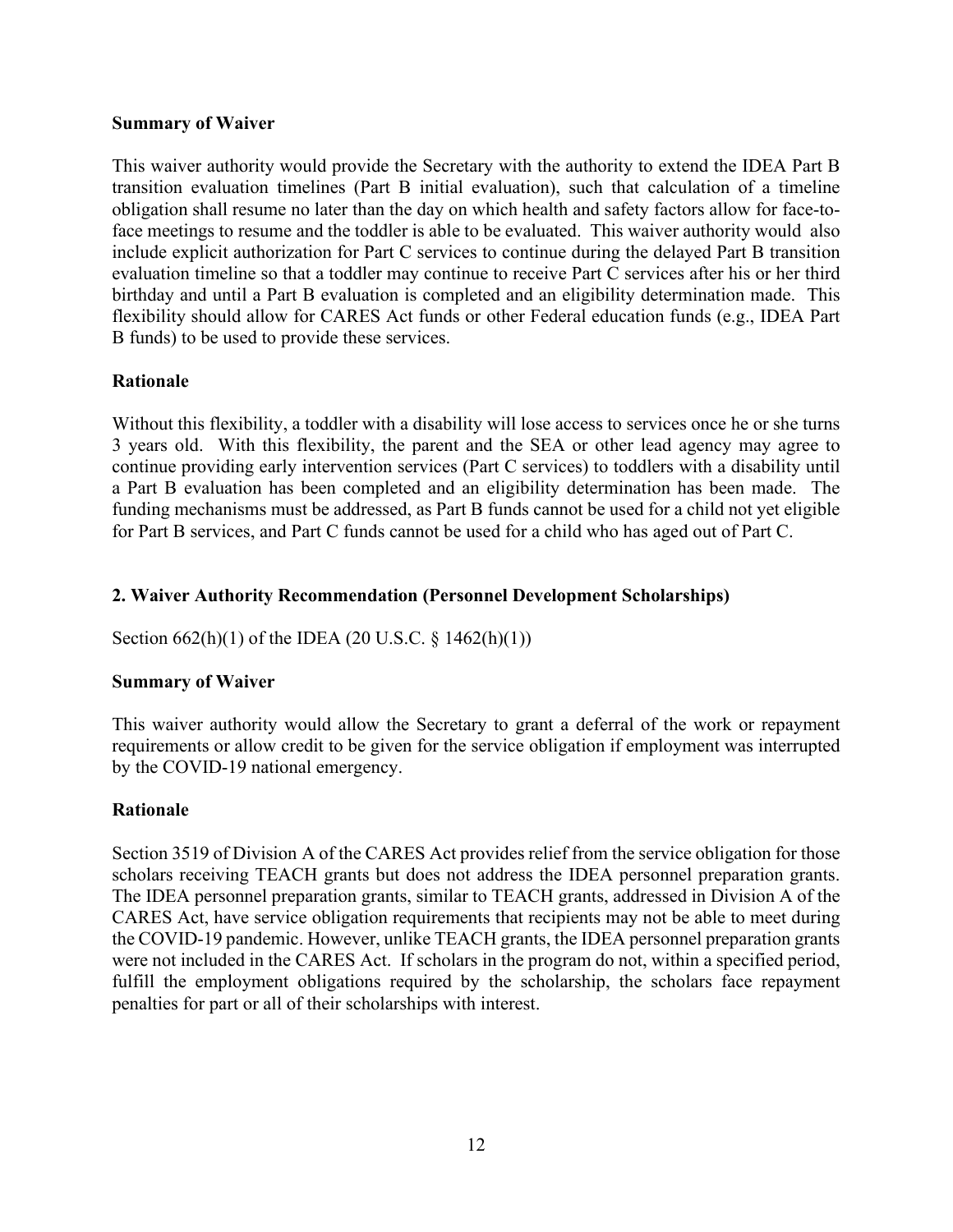#### **Summary of Waiver**

This waiver authority would provide the Secretary with the authority to extend the IDEA Part B transition evaluation timelines (Part B initial evaluation), such that calculation of a timeline obligation shall resume no later than the day on which health and safety factors allow for face-toface meetings to resume and the toddler is able to be evaluated. This waiver authority would also include explicit authorization for Part C services to continue during the delayed Part B transition evaluation timeline so that a toddler may continue to receive Part C services after his or her third birthday and until a Part B evaluation is completed and an eligibility determination made. This flexibility should allow for CARES Act funds or other Federal education funds (e.g., IDEA Part B funds) to be used to provide these services.

### **Rationale**

Without this flexibility, a toddler with a disability will lose access to services once he or she turns 3 years old. With this flexibility, the parent and the SEA or other lead agency may agree to continue providing early intervention services (Part C services) to toddlers with a disability until a Part B evaluation has been completed and an eligibility determination has been made. The funding mechanisms must be addressed, as Part B funds cannot be used for a child not yet eligible for Part B services, and Part C funds cannot be used for a child who has aged out of Part C.

### **2. Waiver Authority Recommendation (Personnel Development Scholarships)**

Section 662(h)(1) of the IDEA (20 U.S.C. § 1462(h)(1))

#### **Summary of Waiver**

This waiver authority would allow the Secretary to grant a deferral of the work or repayment requirements or allow credit to be given for the service obligation if employment was interrupted by the COVID-19 national emergency.

#### **Rationale**

Section 3519 of Division A of the CARES Act provides relief from the service obligation for those scholars receiving TEACH grants but does not address the IDEA personnel preparation grants. The IDEA personnel preparation grants, similar to TEACH grants, addressed in Division A of the CARES Act, have service obligation requirements that recipients may not be able to meet during the COVID-19 pandemic. However, unlike TEACH grants, the IDEA personnel preparation grants were not included in the CARES Act. If scholars in the program do not, within a specified period, fulfill the employment obligations required by the scholarship, the scholars face repayment penalties for part or all of their scholarships with interest.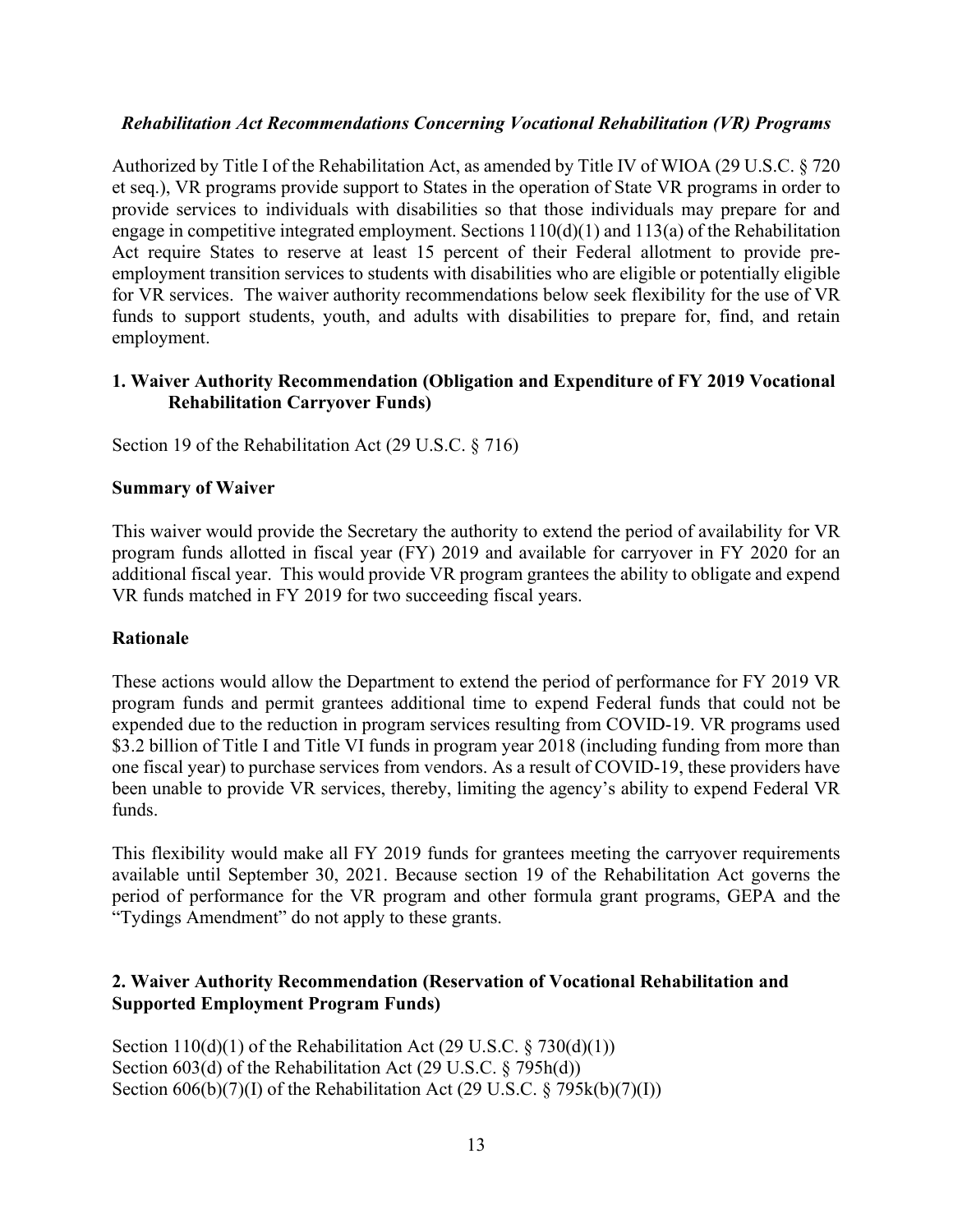### *Rehabilitation Act Recommendations Concerning Vocational Rehabilitation (VR) Programs*

Authorized by Title I of the Rehabilitation Act, as amended by Title IV of WIOA (29 U.S.C. § 720 et seq.), VR programs provide support to States in the operation of State VR programs in order to provide services to individuals with disabilities so that those individuals may prepare for and engage in competitive integrated employment. Sections 110(d)(1) and 113(a) of the Rehabilitation Act require States to reserve at least 15 percent of their Federal allotment to provide preemployment transition services to students with disabilities who are eligible or potentially eligible for VR services. The waiver authority recommendations below seek flexibility for the use of VR funds to support students, youth, and adults with disabilities to prepare for, find, and retain employment.

### **1. Waiver Authority Recommendation (Obligation and Expenditure of FY 2019 Vocational Rehabilitation Carryover Funds)**

Section 19 of the Rehabilitation Act (29 U.S.C. § 716)

### **Summary of Waiver**

This waiver would provide the Secretary the authority to extend the period of availability for VR program funds allotted in fiscal year (FY) 2019 and available for carryover in FY 2020 for an additional fiscal year. This would provide VR program grantees the ability to obligate and expend VR funds matched in FY 2019 for two succeeding fiscal years.

#### **Rationale**

These actions would allow the Department to extend the period of performance for FY 2019 VR program funds and permit grantees additional time to expend Federal funds that could not be expended due to the reduction in program services resulting from COVID-19. VR programs used \$3.2 billion of Title I and Title VI funds in program year 2018 (including funding from more than one fiscal year) to purchase services from vendors. As a result of COVID-19, these providers have been unable to provide VR services, thereby, limiting the agency's ability to expend Federal VR funds.

This flexibility would make all FY 2019 funds for grantees meeting the carryover requirements available until September 30, 2021. Because section 19 of the Rehabilitation Act governs the period of performance for the VR program and other formula grant programs, GEPA and the "Tydings Amendment" do not apply to these grants.

### **2. Waiver Authority Recommendation (Reservation of Vocational Rehabilitation and Supported Employment Program Funds)**

Section  $110(d)(1)$  of the Rehabilitation Act (29 U.S.C. § 730(d)(1)) Section 603(d) of the Rehabilitation Act (29 U.S.C. § 795h(d)) Section  $606(b)(7)(I)$  of the Rehabilitation Act (29 U.S.C. § 795 $k(b)(7)(I)$ )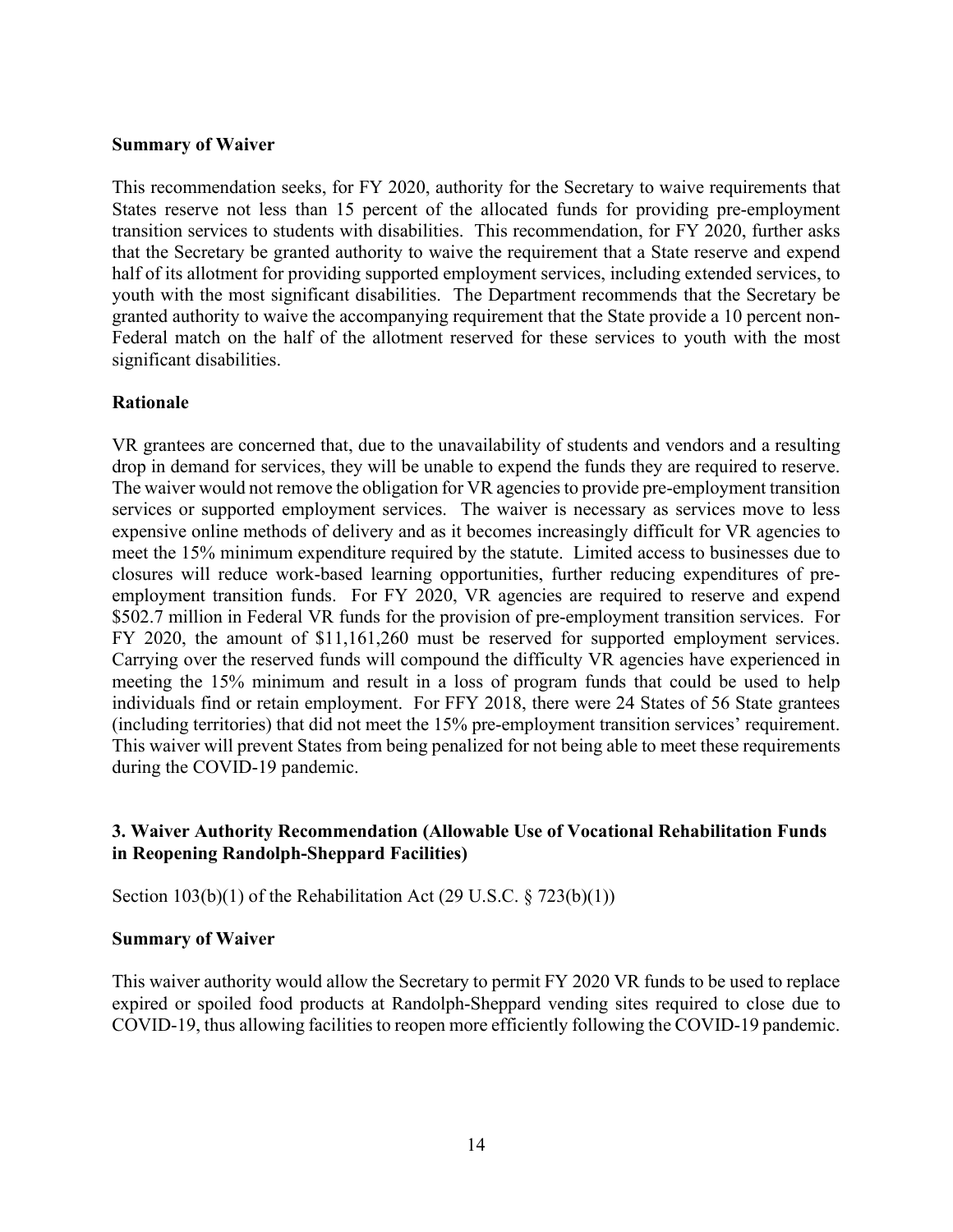#### **Summary of Waiver**

This recommendation seeks, for FY 2020, authority for the Secretary to waive requirements that States reserve not less than 15 percent of the allocated funds for providing pre-employment transition services to students with disabilities. This recommendation, for FY 2020, further asks that the Secretary be granted authority to waive the requirement that a State reserve and expend half of its allotment for providing supported employment services, including extended services, to youth with the most significant disabilities. The Department recommends that the Secretary be granted authority to waive the accompanying requirement that the State provide a 10 percent non-Federal match on the half of the allotment reserved for these services to youth with the most significant disabilities.

#### **Rationale**

VR grantees are concerned that, due to the unavailability of students and vendors and a resulting drop in demand for services, they will be unable to expend the funds they are required to reserve. The waiver would not remove the obligation for VR agencies to provide pre-employment transition services or supported employment services. The waiver is necessary as services move to less expensive online methods of delivery and as it becomes increasingly difficult for VR agencies to meet the 15% minimum expenditure required by the statute. Limited access to businesses due to closures will reduce work-based learning opportunities, further reducing expenditures of preemployment transition funds. For FY 2020, VR agencies are required to reserve and expend \$502.7 million in Federal VR funds for the provision of pre-employment transition services. For FY 2020, the amount of \$11,161,260 must be reserved for supported employment services. Carrying over the reserved funds will compound the difficulty VR agencies have experienced in meeting the 15% minimum and result in a loss of program funds that could be used to help individuals find or retain employment. For FFY 2018, there were 24 States of 56 State grantees (including territories) that did not meet the 15% pre-employment transition services' requirement. This waiver will prevent States from being penalized for not being able to meet these requirements during the COVID-19 pandemic.

### **3. Waiver Authority Recommendation (Allowable Use of Vocational Rehabilitation Funds in Reopening Randolph-Sheppard Facilities)**

Section  $103(b)(1)$  of the Rehabilitation Act (29 U.S.C. § 723(b)(1))

#### **Summary of Waiver**

This waiver authority would allow the Secretary to permit FY 2020 VR funds to be used to replace expired or spoiled food products at Randolph-Sheppard vending sites required to close due to COVID-19, thus allowing facilities to reopen more efficiently following the COVID-19 pandemic.